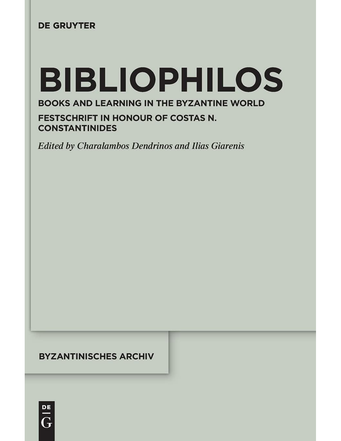### **DE GRUYTER**

# **BIBLIOPHILOS**

### **BOOKS AND LEARNING IN THE BYZANTINE WORLD**

**FESTSCHRIFT IN HONOUR OF COSTAS N. CONSTANTINIDES** 

**Edited by Charalambos Dendrinos and Ilias Giarenis** 

### **BYZANTINISCHES ARCHIV**

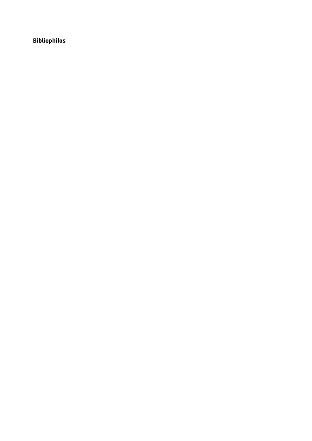**Bibliophilos**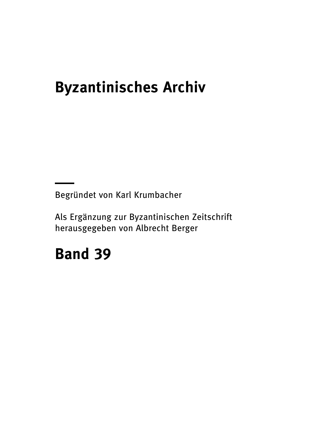### **Byzantinisches Archiv**

Begründet von Karl Krumbacher

Als Ergänzung zur Byzantinischen Zeitschrift herausgegeben von Albrecht Berger

## **Band 39**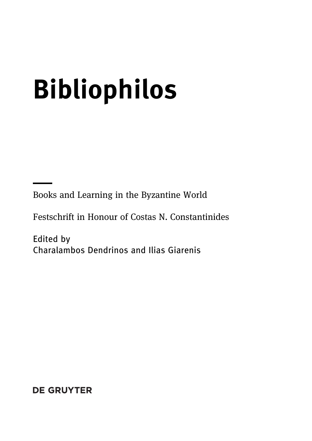## **Bibliophilos**

Books and Learning in the Byzantine World

Festschrift in Honour of Costas N. Constantinides

Edited by Charalambos Dendrinos and Ilias Giarenis

**DE GRUYTER**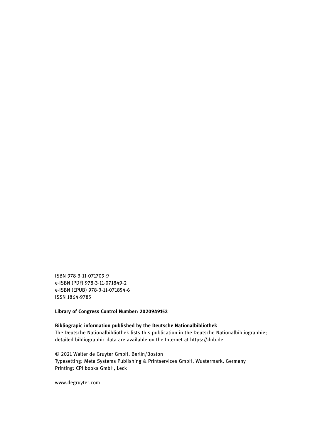ISBN 978-3-11-071709-9 e-ISBN (PDF) 978-3-11-071849-2 e-ISBN (EPUB) 978-3-11-071854-6 ISSN 1864-9785

**Library of Congress Control Number: 2020949152**

#### **Bibliograpic information published by the Deutsche Nationalbibliothek** The Deutsche Nationalbibliothek lists this publication in the Deutsche Nationalbibliographie; detailed bibliographic data are available on the Internet at [https://dnb.de.](https://dnb.de)

© 2021 Walter de Gruyter GmbH, Berlin/Boston Typesetting: Meta Systems Publishing & Printservices GmbH, Wustermark, Germany Printing: CPI books GmbH, Leck

www.degruyter.com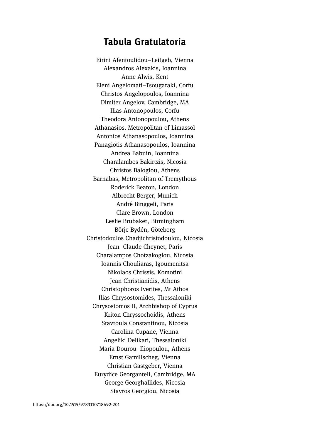### **Tabula Gratulatoria**

Eirini Afentoulidou–Leitgeb, Vienna Alexandros Alexakis, Ioannina Anne Alwis, Kent Eleni Angelomati–Tsougaraki, Corfu Christos Angelopoulos, Ioannina Dimiter Angelov, Cambridge, MA Ilias Antonopoulos, Corfu Theodora Antonopoulou, Athens Athanasios, Metropolitan of Limassol Antonios Athanasopoulos, Ioannina Panagiotis Athanasopoulos, Ioannina Andrea Babuin, Ioannina Charalambos Bakirtzis, Nicosia Christos Baloglou, Athens Barnabas, Metropolitan of Tremythous Roderick Beaton, London Albrecht Berger, Munich André Binggeli, Paris Clare Brown, London Leslie Brubaker, Birmingham Börje Bydén, Göteborg Christodoulos Chadjichristodoulou, Nicosia Jean–Claude Cheynet, Paris Charalampos Chotzakoglou, Nicosia Ioannis Chouliaras, Igoumenitsa Nikolaos Chrissis, Komotini Jean Christianidis, Athens Christophoros Iverites, Mt Athos Ilias Chrysostomides, Thessaloniki Chrysostomos II, Archbishop of Cyprus Kriton Chryssochoidis, Athens Stavroula Constantinou, Nicosia Carolina Cupane, Vienna Angeliki Delikari, Thessaloniki Μaria Dourou–Iliopoulou, Athens Ernst Gamillscheg, Vienna Christian Gastgeber, Vienna Eurydice Georganteli, Cambridge, MA George Georghallides, Nicosia Stavros Georgiou, Nicosia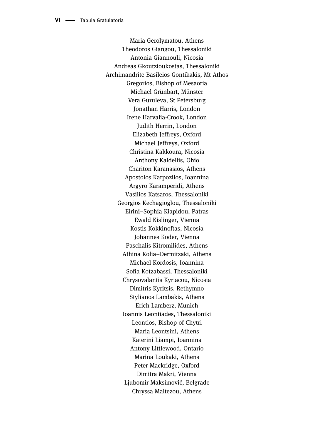Maria Gerolymatou, Athens Theodoros Giangou, Thessaloniki Antonia Giannouli, Nicosia Αndreas Gkoutzioukostas, Thessaloniki Archimandrite Basileios Gontikakis, Mt Athos Gregorios, Bishop of Mesaoria Michael Grünbart, Münster Vera Guruleva, St Petersburg Jonathan Harris, London Irene Harvalia-Crook, London Judith Herrin, London Elizabeth Jeffreys, Oxford Μichael Jeffreys, Oxford Christina Kakkoura, Nicosia Anthony Kaldellis, Ohio Chariton Karanasios, Athens Αpostolos Karpozilos, Ioannina Argyro Karamperidi, Athens Vasilios Katsaros, Thessaloniki Georgios Kechagioglou, Thessaloniki Eirini–Sophia Kiapidou, Patras Ewald Kislinger, Vienna Kostis Kokkinoftas, Nicosia Johannes Koder, Vienna Paschalis Kitromilides, Athens Athina Kolia–Dermitzaki, Athens Michael Kordosis, Ioannina Sofia Kotzabassi, Thessaloniki Chrysovalantis Kyriacou, Nicosia Dimitris Kyritsis, Rethymno Stylianos Lambakis, Athens Erich Lamberz, Munich Ιoannis Leontiades, Thessaloniki Leontios, Bishop of Chytri Μaria Leontsini, Athens Katerini Liampi, Ioannina Antony Littlewood, Ontario Marina Loukaki, Athens Peter Mackridge, Oxford Dimitra Makri, Vienna Ljubomir Maksimović, Belgrade Chryssa Maltezou, Athens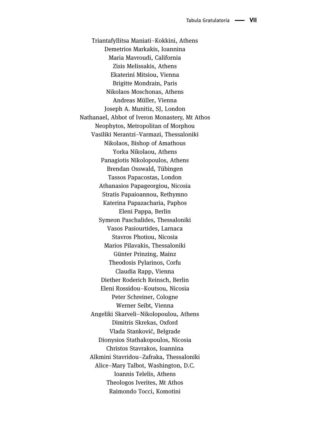Triantafyllitsa Maniati–Kokkini, Athens Demetrios Markakis, Ioannina Maria Mavroudi, California Zisis Melissakis, Athens Ekaterini Mitsiou, Vienna Brigitte Mondrain, Paris Nikolaos Moschonas, Athens Andreas Müller, Vienna Joseph A. Munitiz, SJ, London Nathanael, Abbot of Iveron Monastery, Mt Athos Neophytos, Metropolitan of Morphou Vasiliki Nerantzi–Varmazi, Thessaloniki Nikolaos, Bishop of Amathous Yorka Nikolaou, Athens Panagiotis Nikolopoulos, Athens Brendan Osswald, Tübingen Tassos Papacostas, London Athanasios Papageorgiou, Nicosia Stratis Papaioannou, Rethymno Katerina Papazacharia, Paphos Eleni Pappa, Berlin Symeon Paschalides, Thessaloniki Vasos Pasiourtides, Larnaca Stavros Photiou, Nicosia Marios Pilavakis, Thessaloniki Günter Prinzing, Mainz Theodosis Pylarinos, Corfu Claudia Rapp, Vienna Diether Roderich Reinsch, Berlin Eleni Rossidou–Koutsou, Nicosia Peter Schreiner, Cologne Werner Seibt, Vienna Αngeliki Skarveli–Nikolopoulou, Athens Dimitris Skrekas, Oxford Vlada Stanković, Belgrade Dionysios Stathakopoulos, Nicosia Christos Stavrakos, Ioannina Alkmini Stavridou–Zafraka, Thessaloniki Alice–Mary Talbot, Washington, D.C. Ιoannis Telelis, Athens Theologos Iverites, Mt Athos Raimondo Tocci, Komotini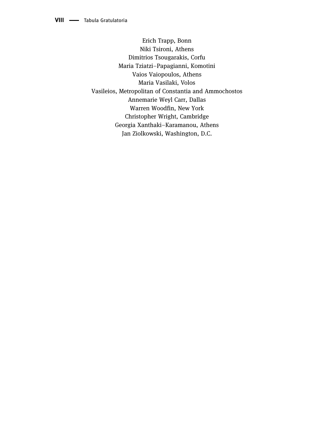Erich Trapp, Bonn Νiki Tsironi, Athens Dimitrios Tsougarakis, Corfu Maria Tziatzi–Papagianni, Komotini Vaios Vaiopoulos, Athens Maria Vasilaki, Volos Vasileios, Metropolitan of Constantia and Ammochostos Annemarie Weyl Carr, Dallas Warren Woodfin, New York Christopher Wright, Cambridge Georgia Xanthaki–Karamanou, Athens Jan Ziolkowski, Washington, D.C.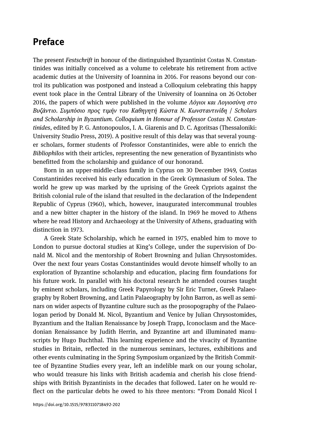### **Preface**

The present *Festschrift* in honour of the distinguished Byzantinist Costas N. Constantinides was initially conceived as a volume to celebrate his retirement from active academic duties at the University of Ioannina in 2016. For reasons beyond our control its publication was postponed and instead a Colloquium celebrating this happy event took place in the Central Library of the University of Ioannina on 26 October 2016, the papers of which were published in the volume *Λόγιοι και Λογιοσύνη στο Βυζάντιο. Συμπόσιο προς τιμήν του Καθηγητή Κώστα Ν. Κωνσταντινίδη* / *Scholars and Scholarship in Byzantium. Colloquium in Honour of Professor Costas N. Constantinides*, edited by P. G. Antonopoulos, I. A. Giarenis and D. C. Agoritsas (Thessaloniki: University Studio Press, 2019). A positive result of this delay was that several younger scholars, former students of Professor Constantinides, were able to enrich the *Bibliophilos* with their articles, representing the new generation of Byzantinists who benefitted from the scholarship and guidance of our honorand.

Born in an upper-middle-class family in Cyprus on 30 December 1949, Costas Constantinides received his early education in the Greek Gymnasium of Solea. The world he grew up was marked by the uprising of the Greek Cypriots against the British colonial rule of the island that resulted in the declaration of the Independent Republic of Cyprus (1960), which, however, inaugurated intercommunal troubles and a new bitter chapter in the history of the island. In 1969 he moved to Athens where he read History and Archaeology at the University of Athens, graduating with distinction in 1973.

A Greek State Scholarship, which he earned in 1975, enabled him to move to London to pursue doctoral studies at King's College, under the supervision of Donald M. Nicol and the mentorship of Robert Browning and Julian Chrysostomides. Over the next four years Costas Constantinides would devote himself wholly to an exploration of Byzantine scholarship and education, placing firm foundations for his future work. In parallel with his doctoral research he attended courses taught by eminent scholars, including Greek Papyrology by Sir Eric Turner, Greek Palaeography by Robert Browning, and Latin Palaeography by John Barron, as well as seminars on wider aspects of Byzantine culture such as the prosopography of the Palaeologan period by Donald M. Nicol, Byzantium and Venice by Julian Chrysostomides, Byzantium and the Italian Renaissance by Joseph Trapp, Iconoclasm and the Macedonian Renaissance by Judith Herrin, and Byzantine art and illuminated manuscripts by Hugo Buchthal. This learning experience and the vivacity of Byzantine studies in Britain, reflected in the numerous seminars, lectures, exhibitions and other events culminating in the Spring Symposium organized by the British Committee of Byzantine Studies every year, left an indelible mark on our young scholar, who would treasure his links with British academia and cherish his close friendships with British Byzantinists in the decades that followed. Later on he would reflect on the particular debts he owed to his three mentors: "From Donald Nicol I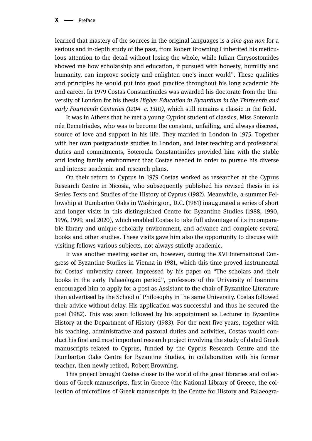learned that mastery of the sources in the original languages is a *sine qua non* for a serious and in-depth study of the past, from Robert Browning I inherited his meticulous attention to the detail without losing the whole, while Julian Chrysostomides showed me how scholarship and education, if pursued with honesty, humility and humanity, can improve society and enlighten one's inner world". These qualities and principles he would put into good practice throughout his long academic life and career. In 1979 Costas Constantinides was awarded his doctorate from the University of London for his thesis *Higher Education in Byzantium in the Thirteenth and early Fourteenth Centuries (1204–c. 1310)*, which still remains a classic in the field.

It was in Athens that he met a young Cypriot student of classics, Miss Soteroula née Demetriades, who was to become the constant, unfailing, and always discreet, source of love and support in his life. They married in London in 1975. Together with her own postgraduate studies in London, and later teaching and professorial duties and commitments, Soteroula Constantinides provided him with the stable and loving family environment that Costas needed in order to pursue his diverse and intense academic and research plans.

On their return to Cyprus in 1979 Costas worked as researcher at the Cyprus Research Centre in Nicosia, who subsequently published his revised thesis in its Series Texts and Studies of the History of Cyprus (1982). Meanwhile, a summer Fellowship at Dumbarton Oaks in Washington, D.C. (1981) inaugurated a series of short and longer visits in this distinguished Centre for Byzantine Studies (1988, 1990, 1996, 1999, and 2020), which enabled Costas to take full advantage of its incomparable library and unique scholarly environment, and advance and complete several books and other studies. These visits gave him also the opportunity to discuss with visiting fellows various subjects, not always strictly academic.

It was another meeting earlier on, however, during the XVI International Congress of Byzantine Studies in Vienna in 1981, which this time proved instrumental for Costas' university career. Impressed by his paper on "The scholars and their books in the early Palaeologan period", professors of the University of Ioannina encouraged him to apply for a post as Assistant to the chair of Byzantine Literature then advertised by the School of Philosophy in the same University. Costas followed their advice without delay. His application was successful and thus he secured the post (1982). This was soon followed by his appointment as Lecturer in Byzantine History at the Department of History (1983). For the next five years, together with his teaching, administrative and pastoral duties and activities, Costas would conduct his first and most important research project involving the study of dated Greek manuscripts related to Cyprus, funded by the Cyprus Research Centre and the Dumbarton Oaks Centre for Byzantine Studies, in collaboration with his former teacher, then newly retired, Robert Browning.

This project brought Costas closer to the world of the great libraries and collections of Greek manuscripts, first in Greece (the National Library of Greece, the collection of microfilms of Greek manuscripts in the Centre for History and Palaeogra-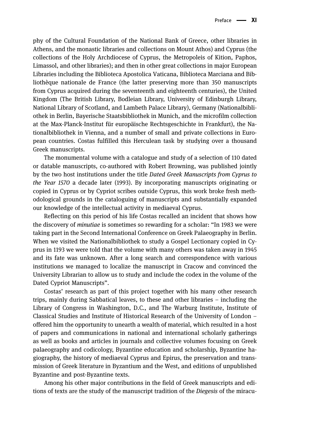phy of the Cultural Foundation of the National Bank of Greece, other libraries in Athens, and the monastic libraries and collections on Mount Athos) and Cyprus (the collections of the Holy Archdiocese of Cyprus, the Metropoleis of Kition, Paphos, Limassol, and other libraries); and then in other great collections in major European Libraries including the Biblioteca Apostolica Vaticana, Biblioteca Marciana and Bibliothèque nationale de France (the latter preserving more than 350 manuscripts from Cyprus acquired during the seventeenth and eighteenth centuries), the United Kingdom (The British Library, Bodleian Library, University of Edinburgh Library, National Library of Scotland, and Lambeth Palace Library), Germany (Nationalbibliothek in Berlin, Bayerische Staatsbibliothek in Munich, and the microfilm collection at the Max-Planck-Institut für europäische Rechtsgeschichte in Frankfurt), the Νationalbibliothek in Vienna, and a number of small and private collections in European countries. Costas fulfilled this Herculean task by studying over a thousand Greek manuscripts.

The monumental volume with a catalogue and study of a selection of 110 dated or datable manuscripts, co-authored with Robert Browning, was published jointly by the two host institutions under the title *Dated Greek Manuscripts from Cyprus to the Year 1570* a decade later (1993). By incorporating manuscripts originating or copied in Cyprus or by Cypriot scribes outside Cyprus, this work broke fresh methodological grounds in the cataloguing of manuscripts and substantially expanded our knowledge of the intellectual activity in mediaeval Cyprus.

Reflecting on this period of his life Costas recalled an incident that shows how the discovery of *minutiae* is sometimes so rewarding for a scholar: "In 1983 we were taking part in the Second International Conference on Greek Palaeography in Berlin. When we visited the Nationalbibliothek to study a Gospel Lectionary copied in Cyprus in 1193 we were told that the volume with many others was taken away in 1945 and its fate was unknown. After a long search and correspondence with various institutions we managed to localize the manuscript in Cracow and convinced the University Librarian to allow us to study and include the codex in the volume of the Dated Cypriot Manuscripts".

Costas' research as part of this project together with his many other research trips, mainly during Sabbatical leaves, to these and other libraries – including the Library of Congress in Washington, D.C., and The Warburg Institute, Institute of Classical Studies and Institute of Historical Research of the University of London – offered him the opportunity to unearth a wealth of material, which resulted in a host of papers and communications in national and international scholarly gatherings as well as books and articles in journals and collective volumes focusing on Greek palaeography and codicology, Byzantine education and scholarship, Byzantine hagiography, the history of mediaeval Cyprus and Epirus, the preservation and transmission of Greek literature in Byzantium and the West, and editions of unpublished Byzantine and post-Byzantine texts.

Among his other major contributions in the field of Greek manuscripts and editions of texts are the study of the manuscript tradition of the *Diegesis* of the miracu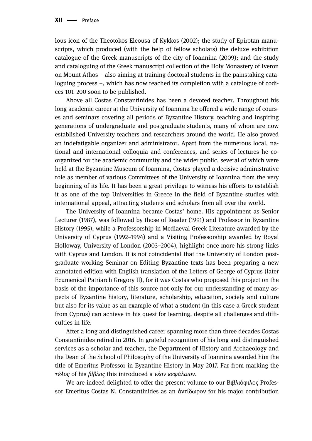lous icon of the Theotokos Eleousa of Kykkos (2002); the study of Epirotan manuscripts, which produced (with the help of fellow scholars) the deluxe exhibition catalogue of the Greek manuscripts of the city of Ioannina (2009); and the study and cataloguing of the Greek manuscript collection of the Holy Monastery of Iveron on Mount Athos – also aiming at training doctoral students in the painstaking cataloguing process –, which has now reached its completion with a catalogue of codices 101–200 soon to be published.

Above all Costas Constantinides has been a devoted teacher. Throughout his long academic career at the University of Ioannina he offered a wide range of courses and seminars covering all periods of Byzantine History, teaching and inspiring generations of undergraduate and postgraduate students, many of whom are now established University teachers and researchers around the world. He also proved an indefatigable organizer and administrator. Apart from the numerous local, national and international colloquia and conferences, and series of lectures he coorganized for the academic community and the wider public, several of which were held at the Byzantine Museum of Ioannina, Costas played a decisive administrative role as member of various Committees of the University of Ioannina from the very beginning of its life. It has been a great privilege to witness his efforts to establish it as one of the top Universities in Greece in the field of Byzantine studies with international appeal, attracting students and scholars from all over the world.

The University of Ioannina became Costas' home. His appointment as Senior Lecturer (1987), was followed by those of Reader (1991) and Professor in Byzantine History (1995), while a Professorship in Mediaeval Greek Literature awarded by the University of Cyprus (1992–1994) and a Visiting Professorship awarded by Royal Holloway, University of London (2003–2004), highlight once more his strong links with Cyprus and London. It is not coincidental that the University of London postgraduate working Seminar on Editing Byzantine texts has been preparing a new annotated edition with English translation of the Letters of George of Cyprus (later Ecumenical Patriarch Gregory II), for it was Costas who proposed this project on the basis of the importance of this source not only for our understanding of many aspects of Byzantine history, literature, scholarship, education, society and culture but also for its value as an example of what a student (in this case a Greek student from Cyprus) can achieve in his quest for learning, despite all challenges and difficulties in life.

After a long and distinguished career spanning more than three decades Costas Constantinides retired in 2016. In grateful recognition of his long and distinguished services as a scholar and teacher, the Department of History and Archaeology and the Dean of the School of Philosophy of the University of Ioannina awarded him the title of Emeritus Professor in Byzantine History in May 2017. Far from marking the *τέλος* of his *βίβλος* this introduced a *νέον κεφάλαιον*.

We are indeed delighted to offer the present volume to our Βιβλιόφιλος Professor Emeritus Costas N. Constantinides as an ἀντίδωρον for his major contribution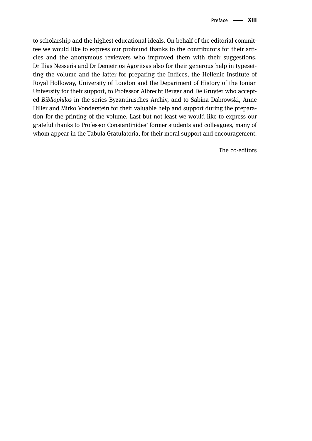to scholarship and the highest educational ideals. On behalf of the editorial committee we would like to express our profound thanks to the contributors for their articles and the anonymous reviewers who improved them with their suggestions, Dr Ilias Nesseris and Dr Demetrios Agoritsas also for their generous help in typesetting the volume and the latter for preparing the Indices, the Hellenic Institute of Royal Holloway, University of London and the Department of History of the Ionian University for their support, to Professor Albrecht Berger and De Gruyter who accepted *Bibliophilos* in the series Byzantinisches Archiv, and to Sabina Dabrowski, Anne Hiller and Mirko Vonderstein for their valuable help and support during the preparation for the printing of the volume. Last but not least we would like to express our grateful thanks to Professor Constantinides' former students and colleagues, many of whom appear in the Tabula Gratulatoria, for their moral support and encouragement.

The co-editors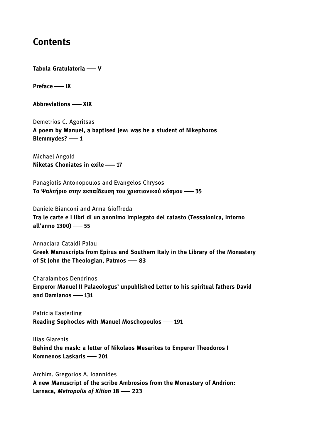### **Contents**

**Tabula Gratulatoria V**

**Preface IX**

**Abbreviations XIX**

Demetrios C. Agoritsas **A poem by Manuel, a baptised Jew: was he a student of Nikephoros Blemmydes?** — 1

Michael Angold **Niketas Choniates in exile 17**

Panagiotis Antonopoulos and Evangelos Chrysos **Το Ψαλτήριο στην εκπαίδευση του χριστιανικού κόσμου 35**

Daniele Bianconi and Anna Gioffreda **Tra le carte e i libri di un anonimo impiegato del catasto (Tessalonica, intorno all'anno 1300) 55**

Annaclara Cataldi Palau **Greek Manuscripts from Epirus and Southern Italy in the Library of the Monastery of St John the Theologian, Patmos 83**

Charalambos Dendrinos **Emperor Manuel II Palaeologus' unpublished Letter to his spiritual fathers David and Damianos 131**

Patricia Easterling **Reading Sophocles with Manuel Moschopoulos 191**

Ilias Giarenis **Behind the mask: a letter of Nikolaos Mesarites to Emperor Theodoros I Komnenos Laskaris 201**

Archim. Gregorios A. Ioannides **A new Manuscript of the scribe Ambrosios from the Monastery of Andrion: Larnaca,** *Metropolis of Kition* **18 223**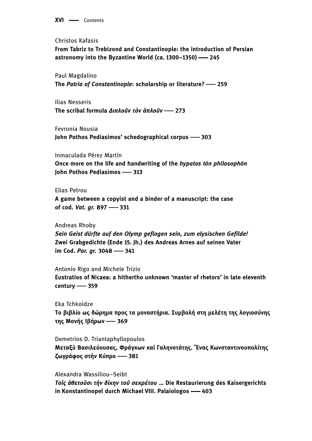**XVI** - Contents

Christos Kafasis

**From Tabriz to Trebizond and Constantinople: the introduction of Persian astronomy into the Byzantine World (ca. 1300–1350) 245**

Paul Magdalino **The** *Patria of Constantinople***: scholarship or literature? 259**

Ilias Nesseris **The scribal formula** *Διπλοῦν τὸν ἁπλοῦν* **273**

Fevronia Nousia **John Pothos Pediasimos' schedographical corpus 303**

Inmaculada Pérez Martín **Once more on the life and handwriting of the** *hypatos tōn philosophōn* **John Pothos Pediasimos 313**

Elias Petrou

**A game between a copyist and a binder of a manuscript: the case of cod.** *Vat. gr.* **897 331**

Andreas Rhoby *Sein Geist dürfte auf den Olymp geflogen sein, zum elysischen Gefilde!* **Zwei Grabgedichte (Ende 15. Jh.) des Andreas Arnes auf seinen Vater im Cod. Par. gr. 3048 - 341** 

Antonio Rigo and Michele Trizio **Eustratios of Nicaea: a hithertho unknown 'master of rhetors' in late eleventh century 359**

Eka Tchkoidze **Το βιβλίο ως δώρημα προς τα μοναστήρια. Συμβολή στη μελέτη της λογιοσύνης της Μονής Ιβήρων 369**

Demetrios D. Triantaphyllopoulos **Μεταξὺ Βασιλεύουσας, Φράγκων καὶ Γαληνοτάτης. Ἕνας Κωνσταντινουπολίτης ζωγράφος στὴν Κύπρο 381**

Alexandra Wassiliou–Seibt *Τοῖς ἀθετοῦσι τὴν δίκην τοῦ σεκρέτου* **… Die Restaurierung des Kaisergerichts in Konstantinopel durch Michael VIII. Palaiologos 403**